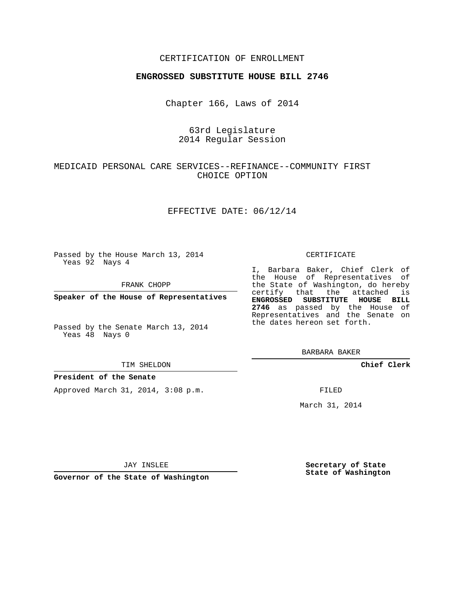### CERTIFICATION OF ENROLLMENT

#### **ENGROSSED SUBSTITUTE HOUSE BILL 2746**

Chapter 166, Laws of 2014

## 63rd Legislature 2014 Regular Session

## MEDICAID PERSONAL CARE SERVICES--REFINANCE--COMMUNITY FIRST CHOICE OPTION

### EFFECTIVE DATE: 06/12/14

Passed by the House March 13, 2014 Yeas 92 Nays 4

FRANK CHOPP

**Speaker of the House of Representatives**

Passed by the Senate March 13, 2014 Yeas 48 Nays 0

#### TIM SHELDON

### **President of the Senate**

Approved March 31, 2014, 3:08 p.m.

#### CERTIFICATE

I, Barbara Baker, Chief Clerk of the House of Representatives of the State of Washington, do hereby certify that the attached is **ENGROSSED SUBSTITUTE HOUSE BILL 2746** as passed by the House of Representatives and the Senate on the dates hereon set forth.

BARBARA BAKER

**Chief Clerk**

FILED

March 31, 2014

JAY INSLEE

**Governor of the State of Washington**

**Secretary of State State of Washington**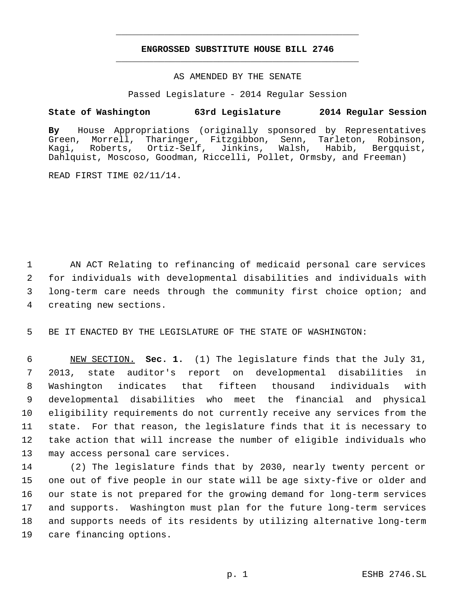# **ENGROSSED SUBSTITUTE HOUSE BILL 2746** \_\_\_\_\_\_\_\_\_\_\_\_\_\_\_\_\_\_\_\_\_\_\_\_\_\_\_\_\_\_\_\_\_\_\_\_\_\_\_\_\_\_\_\_\_

\_\_\_\_\_\_\_\_\_\_\_\_\_\_\_\_\_\_\_\_\_\_\_\_\_\_\_\_\_\_\_\_\_\_\_\_\_\_\_\_\_\_\_\_\_

#### AS AMENDED BY THE SENATE

Passed Legislature - 2014 Regular Session

### **State of Washington 63rd Legislature 2014 Regular Session**

**By** House Appropriations (originally sponsored by Representatives Morrell, Tharinger, Fitzgibbon, Senn, Kagi, Roberts, Ortiz-Self, Jinkins, Walsh, Habib, Bergquist, Dahlquist, Moscoso, Goodman, Riccelli, Pollet, Ormsby, and Freeman)

READ FIRST TIME 02/11/14.

 AN ACT Relating to refinancing of medicaid personal care services for individuals with developmental disabilities and individuals with long-term care needs through the community first choice option; and creating new sections.

BE IT ENACTED BY THE LEGISLATURE OF THE STATE OF WASHINGTON:

 NEW SECTION. **Sec. 1.** (1) The legislature finds that the July 31, 2013, state auditor's report on developmental disabilities in Washington indicates that fifteen thousand individuals with developmental disabilities who meet the financial and physical eligibility requirements do not currently receive any services from the state. For that reason, the legislature finds that it is necessary to take action that will increase the number of eligible individuals who may access personal care services.

 (2) The legislature finds that by 2030, nearly twenty percent or one out of five people in our state will be age sixty-five or older and our state is not prepared for the growing demand for long-term services and supports. Washington must plan for the future long-term services and supports needs of its residents by utilizing alternative long-term care financing options.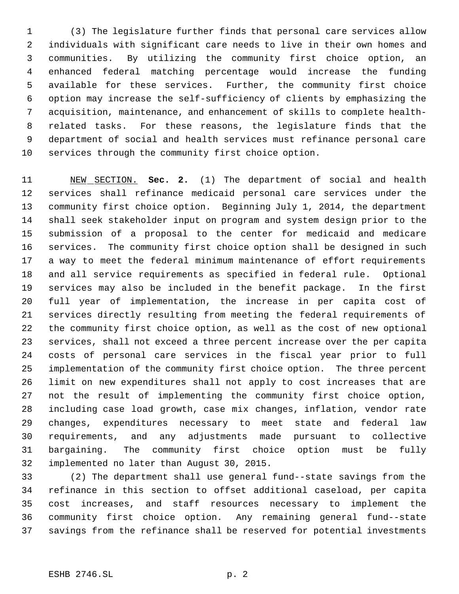(3) The legislature further finds that personal care services allow individuals with significant care needs to live in their own homes and communities. By utilizing the community first choice option, an enhanced federal matching percentage would increase the funding available for these services. Further, the community first choice option may increase the self-sufficiency of clients by emphasizing the acquisition, maintenance, and enhancement of skills to complete health- related tasks. For these reasons, the legislature finds that the department of social and health services must refinance personal care services through the community first choice option.

 NEW SECTION. **Sec. 2.** (1) The department of social and health services shall refinance medicaid personal care services under the community first choice option. Beginning July 1, 2014, the department shall seek stakeholder input on program and system design prior to the submission of a proposal to the center for medicaid and medicare services. The community first choice option shall be designed in such a way to meet the federal minimum maintenance of effort requirements and all service requirements as specified in federal rule. Optional services may also be included in the benefit package. In the first full year of implementation, the increase in per capita cost of services directly resulting from meeting the federal requirements of the community first choice option, as well as the cost of new optional services, shall not exceed a three percent increase over the per capita costs of personal care services in the fiscal year prior to full implementation of the community first choice option. The three percent limit on new expenditures shall not apply to cost increases that are not the result of implementing the community first choice option, including case load growth, case mix changes, inflation, vendor rate changes, expenditures necessary to meet state and federal law requirements, and any adjustments made pursuant to collective bargaining. The community first choice option must be fully implemented no later than August 30, 2015.

 (2) The department shall use general fund--state savings from the refinance in this section to offset additional caseload, per capita cost increases, and staff resources necessary to implement the community first choice option. Any remaining general fund--state savings from the refinance shall be reserved for potential investments